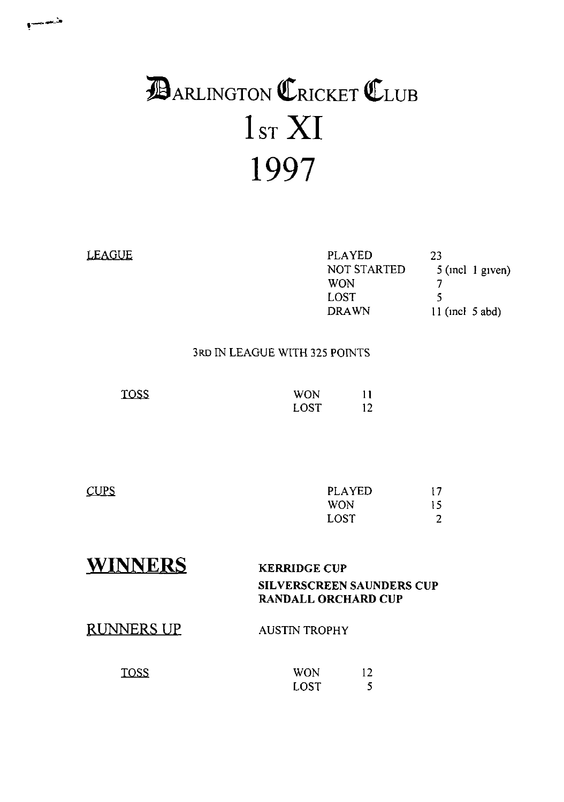# **ARLINGTON** CRICKET CLUB  $1<sub>ST</sub> XI$ 1997

منسير

| LEAGUE | <b>PLAYED</b> | 23                 |
|--------|---------------|--------------------|
|        | NOT STARTED   | $5$ (incl 1 given) |
|        | <b>WON</b>    |                    |
|        | LOST          | 5                  |
|        | <b>DRAWN</b>  | 11 $(ncl 5 abd)$   |
|        |               |                    |

# 3RD IN LEAGUE WITH 325 POINTS

| <b>TOSS</b> | <b>WON</b> |    |
|-------------|------------|----|
|             | LOST       | 12 |

| <b>CUPS</b> | <b>PLAYED</b> | 17             |
|-------------|---------------|----------------|
|             | <b>WON</b>    | 15             |
|             | LOST          | $\overline{2}$ |
|             |               |                |

|                   | <b>KERRIDGE CUP</b>                                     |    |  |  |  |  |  |
|-------------------|---------------------------------------------------------|----|--|--|--|--|--|
|                   | SILVERSCREEN SAUNDERS CUP<br><b>RANDALL ORCHARD CUP</b> |    |  |  |  |  |  |
| <b>RUNNERS UP</b> | <b>AUSTIN TROPHY</b>                                    |    |  |  |  |  |  |
| TOSS              | WON                                                     | 12 |  |  |  |  |  |
|                   |                                                         |    |  |  |  |  |  |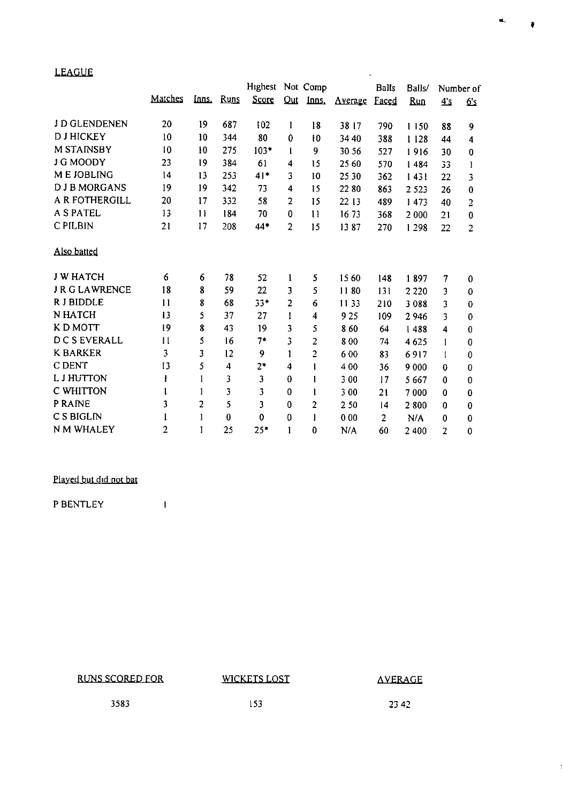### <u>LEAGUE Ann an Dùbhlachd ann an Dùbhlachd ann an Dùbhlachd ann an Dùbhlachd ann an Dùbhlachd ann an Dùbhlachd a</u>

|                    |              |              |             | Highest     |                | Not Comp       |         | <b>Balls</b> | Balls/  |                | Number of   |
|--------------------|--------------|--------------|-------------|-------------|----------------|----------------|---------|--------------|---------|----------------|-------------|
|                    | Matches      | <u>Inns.</u> | <b>Runs</b> | Score       |                | Qut Inns.      | Average | <b>Faced</b> | Run     | 4s             | 6's         |
| J D GLENDENEN      | 20           | 19           | 687         | 102         | $\mathbf l$    | 18             | 38 17   | 790          | 1150    | 88             | 9           |
| <b>DJHICKEY</b>    | 10           | 10           | 344         | 80          | 0              | 10             | 34 40   | 388          | 1128    | 44             | 4           |
| <b>M STAINSBY</b>  | 10           | 10           | 275         | $103*$      |                | 9              | 30 56   | 527          | 1916    | 30             | 0           |
| J G MOODY          | 23           | 19           | 384         | 61          | 4              | 15             | 25 60   | 570          | 1484    | 33             | 1           |
| M E JOBLING        | 14           | 13           | 253         | $41*$       | 3              | 10             | 25 30   | 362          | 143!    | 22             | 3           |
| <b>DJBMORGANS</b>  | 19           | 19           | 342         | 73          | 4              | 15             | 22 80   | 863          | 2 5 2 3 | 26             | 0           |
| A R FOTHERGILL     | 20           | 17           | 332         | 58          | 2              | 15             | 22 13   | 489          | 1473    | 40             | 2           |
| <b>A S PATEL</b>   | 13           | $\mathbf{1}$ | 184         | 70          | 0              | $\mathbf{1}$   | 1673    | 368          | 2 000   | 21             | $\bf{0}$    |
| C PILBIN           | 21           | 17           | 208         | 44*         | 2              | 15             | 1387    | 270          | 1 2 9 8 | 22             | 2           |
| Also batted        |              |              |             |             |                |                |         |              |         |                |             |
| <b>J W HATCH</b>   | 6            | 6            | 78          | 52          | $\mathbf{1}$   | 5              | 1560    | 148          | 1897    | 7              | $\bf{0}$    |
| <b>JRGLAWRENCE</b> | 18           | 8            | 59          | 22          | 3              | 5              | 1180    | 131          | 2 2 2 0 | 3              | 0           |
| R J BIDDLE         | 11           | 8            | 68          | $33*$       | $\overline{c}$ | 6              | 1133    | 210          | 3 0 8 8 | 3              | 0           |
| <b>N HATCH</b>     | 13           | 5            | 37          | 27          | $\mathbf{I}$   | 4              | 925     | 109          | 2 9 4 6 | 3              | 0           |
| <b>K D MOTT</b>    | 19           | 8            | 43          | 19          | 3              | 5              | 860     | 64           | 1488    | 4              | 0           |
| <b>DCSEVERALL</b>  | $\mathbf{1}$ | 5            | 16          | $7*$        | 3              | $\overline{2}$ | 8 0 0   | 74           | 4625    | 1              | $\bf{0}$    |
| <b>K BARKER</b>    | 3            | 3            | 12          | 9           |                | 2              | 600     | 83           | 6917    | 1              | $\bf{0}$    |
| C DENT             | 13           | 5            | 4           | $2^{\star}$ | 4              |                | 400     | 36           | 9 0 0 0 | 0              | 0           |
| <b>L J HUTTON</b>  | Į            |              | 3           | 3           | $\bf{0}$       |                | 3 0 0   | 17           | 5 6 6 7 | 0              | 0           |
| <b>C WHITTON</b>   |              | 1            | 3           | 3           | $\bf{0}$       | 1              | 300     | 21           | 7000    | 0              | $\bf{0}$    |
| P RAINE            | 3            | 2            | 5           | 3           | $\bf{0}$       | 2              | 250     | 4            | 2800    | 0              | 0           |
| C S BIGLIN         |              | 1            | $\bf{0}$    | 0           | 0              | 1              | 000     | 2            | N/A     | 0              | $\pmb{0}$   |
| N M WHALEY         | 2            | 1            | 25          | $25*$       | I              | 0              | N/A     | 60           | 2 400   | $\overline{2}$ | $\mathbf 0$ |

### Played but did not bat

P BENTLEY 1

RUNS SCORED FOR WICKETS LOST AVERAGE

a.

 $\bullet$ 

3583 153 2342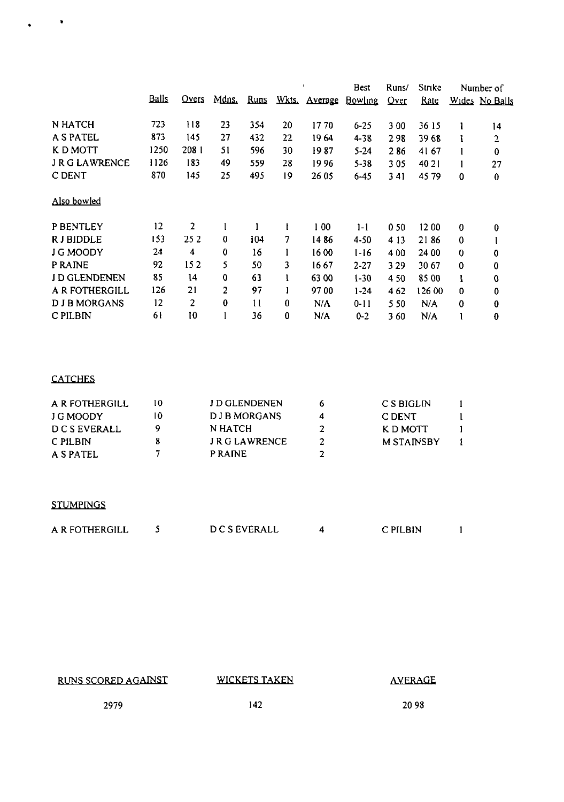|                       |              |               |       |             |                  |                | Best     | Runs/ | Strike |             | Number of      |
|-----------------------|--------------|---------------|-------|-------------|------------------|----------------|----------|-------|--------|-------------|----------------|
|                       | <b>Balls</b> | Overs         | Mdns. | <b>Runs</b> | Wkts.            | <u>Average</u> | Bowling  | Over  | Rate   |             | Wides No Balls |
| N HATCH               | 723          | 118           | 23    | 354         | 20               | 1770           | $6 - 25$ | 3 00  | 36 15  | 1           | 14             |
| <b>A S PATEL</b>      | 873          | 145           | 27    | 432         | 22               | 1964           | $4 - 38$ | 298   | 39 68  | ı           | 2              |
| K D MOTT              | 1250         | 2081          | 51    | 596         | 30               | 1987           | $5 - 24$ | 286   | 4167   |             | 0              |
| <b>J R G LAWRENCE</b> | 1126         | 183           | 49    | 559         | 28               | 1996           | $5 - 38$ | 305   | 40 21  |             | 27             |
| C DENT                | 870          | 145           | 25    | 495         | 19               | 26 05          | $6 - 45$ | 341   | 4579   | 0           | $\bf{0}$       |
| <u>Also bowled</u>    |              |               |       |             |                  |                |          |       |        |             |                |
| P BENTLEY             | 12           | 2             | 1     |             |                  | 1 00           | 1-1      | 0 50  | 1200   | $\bf{0}$    | 0              |
| <b>RJBIDDLE</b>       | 153          | 25 2          | 0     | 104         | 7                | 1486           | 4-50     | 4 1 3 | 2186   | $\bf{0}$    |                |
| J G MOODY             | 24           | 4             | 0     | 16          | 1                | 1600           | $1 - 16$ | 400   | 24 00  | 0           | $\bf{0}$       |
| P RAINE               | 92           | 152           | 5     | 50          | 3                | 1667           | 2-27     | 329   | 30 67  | $\mathbf 0$ | $\bf{0}$       |
| J D GLENDENEN         | 85           | $\mathbf{14}$ | 0     | 63          | 1                | 63 00          | $1 - 30$ | 450   | 85 00  | 1           | $\bf{0}$       |
| A R FOTHERGILL        | 126          | 21            | 2     | 97          | 1                | 9700           | $1 - 24$ | 462   | 126 00 | 0           | 0              |
| <b>DJBMORGANS</b>     | 12           | 2             | 0     | 11          | $\boldsymbol{0}$ | N/A            | $0 - 11$ | 5 50  | N/A    | 0           | $\bf{0}$       |
| C PILBIN              | 61           | 10            |       | 36          | 0                | N/A            | $0 - 2$  | 360   | N/A    |             | $\bf{0}$       |

# **CATCHES**

 $\mathbf{s}^{\mathrm{S}}$  ,  $\mathbf{s}^{\mathrm{S}}$ 

| A R FOTHERGILL    | 10 | J D GLENDENEN  | C S BIGLIN        |  |
|-------------------|----|----------------|-------------------|--|
| J G MOODY         |    | D J B MORGANS  | C DENT            |  |
| <b>DCSEVERALL</b> |    | N HATCH        | K D MOTT          |  |
| C PILBIN          |    | J R G LAWRENCE | <b>M STAINSBY</b> |  |
| A S PATEL         |    | <b>PRAINE</b>  |                   |  |

## **STUMPINGS**

| A R FOTHERGILL | <b>DCSEVERALL</b> | C PILBIN |  |
|----------------|-------------------|----------|--|

# RUNS SCORED AGAINST WICKETS TAKEN AVERAGE

2979 142 2098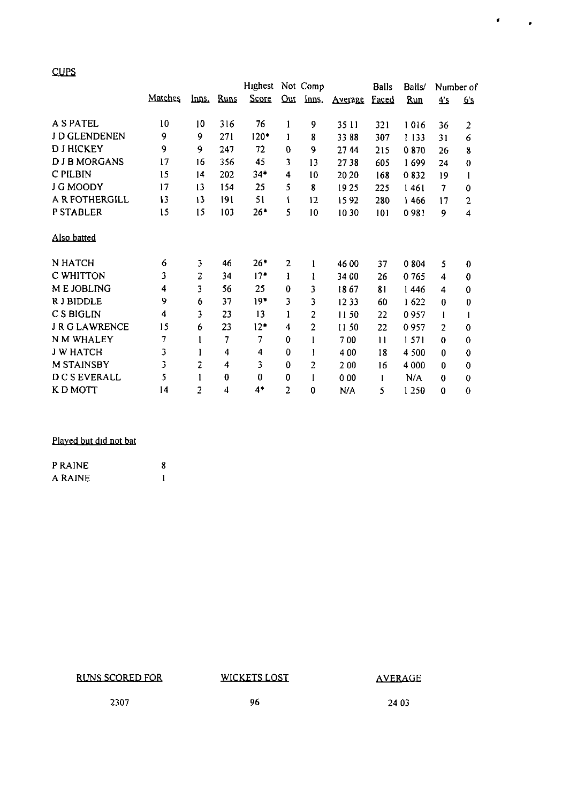**CUPS** 

|                   |                |    |            | Highest      |                | Not Comp       |         | <b>Balls</b> | Balls/     | Number of    |                |
|-------------------|----------------|----|------------|--------------|----------------|----------------|---------|--------------|------------|--------------|----------------|
|                   | <b>Matches</b> |    | Inns. Runs | <b>Score</b> | Qut            | Inns.          | Average | <b>Faced</b> | <b>Run</b> | $\Delta$ s   | 6 <sub>5</sub> |
| <b>A S PATEL</b>  | 10             | 10 | 316        | 76           | 1              | 9              | 35 11   | 321          | 1016       | 36           | 2              |
| J D GLENDENEN     | 9              | 9  | 271        | $120*$       | 1              | 8              | 33 88   | 307          | 1 1 3 3    | 31           | 6              |
| <b>DJHICKEY</b>   | 9              | 9  | 247        | 72           | 0              | 9              | 27 44   | 215          | 0870       | 26           | 8              |
| <b>DJBMORGANS</b> | 17             | 16 | 356        | 45           | 3              | 13             | 2738    | 605          | 1699       | 24           | $\bf{0}$       |
| C PILBIN          | 15             | 14 | 202        | $34 -$       | 4              | 10             | 20 20   | 168          | 0832       | 19           |                |
| J G MOODY         | 17             | 13 | 154        | 25           | 5              | 8              | 1925    | 225          | 1461       | 7            | 0              |
| A R FOTHERGILL    | 13             | 13 | 191        | 51           | ۱              | 12             | 1592    | 280          | 1466       | 17           | 2              |
| <b>P STABLER</b>  | 15             | 15 | 103        | $26*$        | 5              | 10             | 10 30   | 101          | 0981       | 9            | 4              |
| Also batted       |                |    |            |              |                |                |         |              |            |              |                |
| N HATCH           | 6              | 3  | 46         | 26*          | $\overline{2}$ |                | 46 00   | 37           | 0 8 0 4    | 5            | 0              |
| C WHITTON         | 3              | 2  | 34         | $17*$        | 1              | 1              | 34 00   | 26           | 0 7 6 5    | 4            | 0              |
| M E JOBLING       | 4              | 3  | 56         | 25           | 0              | 3              | 1867    | 81           | 1446       | 4            | 0              |
| R J BIDDLE        | 9              | 6  | 37         | $19 -$       | 3              | 3              | 1233    | 60           | 1622       | $\theta$     | 0              |
| C S BIGLIN        | 4              | 3  | 23         | 13           | 1              | 2              | 1150    | 22           | 0957       |              |                |
| JRGLAWRENCE       | 15             | 6  | 23         | $12 -$       | 4              | $\overline{2}$ | 1150    | 22           | 0957       | 2            | 0              |
| N M WHALEY        | 7              |    | 7          | 7            | 0              | 1              | 700     | 11           | 1571       | $\mathbf{0}$ | 0              |
| <b>J W HATCH</b>  | 3              |    | 4          | 4            | 0              | ł              | 400     | 18           | 4 500      | $\bf{0}$     | 0              |
| <b>M STAINSBY</b> | 3              | 2  | 4          | 3            | 0              | 2              | 200     | 16           | 4 0 0 0    | $\Omega$     | 0              |
| <b>DCSEVERALL</b> | 5              | 1  | $\bf{0}$   | 0            | 0              | 1              | 000     | 1            | N/A        | $\bf{0}$     | 0              |
| K D MOTT          | 14             | 2  | 4          | $4^*$        | 2              | $\bf{0}$       | N/A     | 5            | 1250       | $\bf{0}$     | 0              |

## Played but did not bat

| P RAINE |  |
|---------|--|
| A RAINE |  |

RUNS SCORED FOR WICKETS LOST AVERAGE

**I**

٠

 $2307$  24 03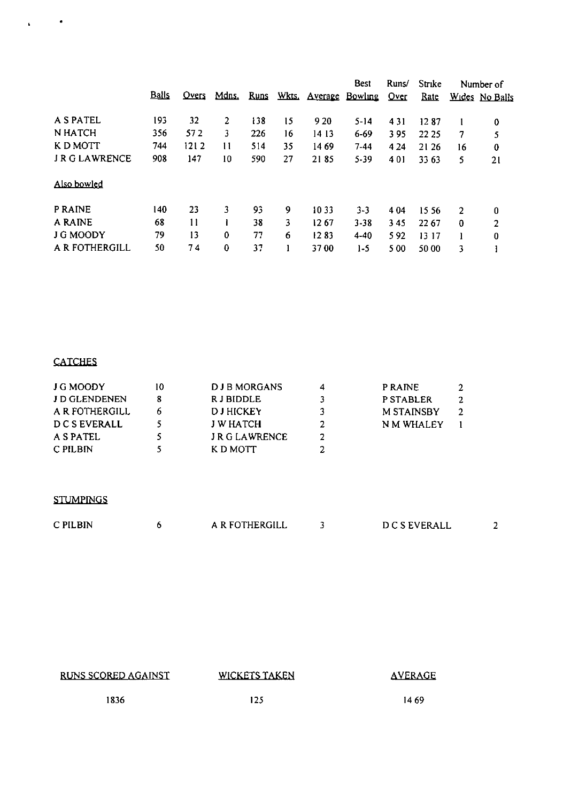|                    |              |              |            |     |    |                       | <b>Best</b> | Runs/   | Strike      |          | Number of      |
|--------------------|--------------|--------------|------------|-----|----|-----------------------|-------------|---------|-------------|----------|----------------|
|                    | <b>Balls</b> | <b>Overs</b> | Mdns. Runs |     |    | Wkts. Average Bowling |             | $Q$ ver | <b>Rate</b> |          | Wides No Balls |
| A S PATEL          | 193          | 32           | 2          | 138 | 15 | 9 20                  | 5-14        | 431     | 1287        |          | 0              |
| N HATCH            | 356          | 572          | 3          | 226 | 16 | 14 13                 | 6-69        | 395     | 22 25       | 7        | 5              |
| K D MOTT           | 744          | 1212         | 11         | 514 | 35 | 14 69                 | $7 - 44$    | 4 2 4   | 21 26       | 16       | 0              |
| <b>JRGLAWRENCE</b> | 908          | 147          | 10         | 590 | 27 | 2185                  | $5 - 39$    | 401     | 33 63       | 5        | 21             |
| Also bowled        |              |              |            |     |    |                       |             |         |             |          |                |
| P RAINE            | 140          | 23           | 3          | 93  | 9  | 1033                  | $3 - 3$     | 4 0 4   | 15.56       | 2        | 0              |
| A RAINE            | 68           | 11           |            | 38  | 3  | 1267                  | $3 - 38$    | 345     | 22 67       | $\bf{0}$ | 2              |
| J G MOODY          | 79           | 13           | 0          | 77  | 6  | 1283                  | $4 - 40$    | 592     | 13 17       |          | 0              |
| A R FOTHERGILL     | 50           | 74           | 0          | 37  |    | 3700                  | $1-5$       | 5 0 0   | 50 00       | 3        |                |

# **CATCHES**

 $\mathbf{r} = \mathbf{r} \cdot \mathbf{r}$ 

| J G MOODY         | 10 | <b>DJBMORGANS</b>  |   | P RAINE           |  |
|-------------------|----|--------------------|---|-------------------|--|
| J D GLENDENEN     |    | R J BIDDLE         |   | P STABLER         |  |
| A R FOTHERGILL    |    | <b>DJHICKEY</b>    | ٦ | <b>M STAINSBY</b> |  |
| <b>DCSEVERALL</b> |    | J W HATCH          |   | N M WHALEY        |  |
| A S PATEL         |    | <b>JRGLAWRENCE</b> | 2 |                   |  |
| C PILBIN          |    | K D MOTT           |   |                   |  |

## STUMPINGS

| C PILBIN | A R FOTHERGILL | <b>DCSEVERALL</b> |  |
|----------|----------------|-------------------|--|
|          |                |                   |  |

RUNS SCORED AGAINST WICKETS TAKEN AVERAGE

 $1836$  125 1469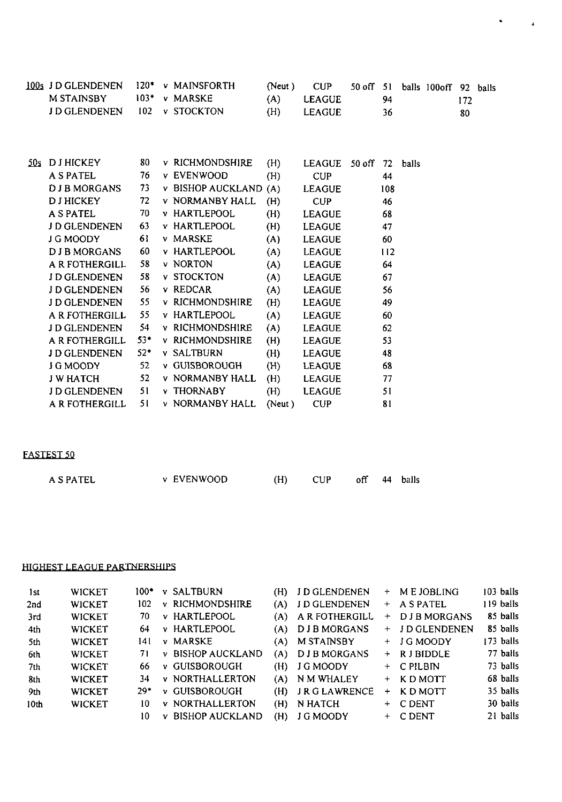|     | 100s J D GLENDENEN<br><b>M STAINSBY</b><br>J D GLENDENEN | $120*$<br>$103+$<br>102 | <b>v MAINSFORTH</b><br>v MARSKE<br>v STOCKTON | (Neut)<br>(A)<br>(H) | <b>CUP</b><br><b>LEAGUE</b><br><b>LEAGUE</b> | 50 off | 51<br>94<br>36 |       | balls 100off | 92<br>172<br>80 | <b>balls</b> |
|-----|----------------------------------------------------------|-------------------------|-----------------------------------------------|----------------------|----------------------------------------------|--------|----------------|-------|--------------|-----------------|--------------|
| 50s | <b>DJHICKEY</b>                                          | 80                      | v RICHMONDSHIRE                               | (H)                  | LEAGUE                                       | 50 off | 72             | balls |              |                 |              |
|     | <b>A S PATEL</b>                                         | 76                      | <b>v EVENWOOD</b>                             | (H)                  | <b>CUP</b>                                   |        | 44             |       |              |                 |              |
|     | <b>DJBMORGANS</b>                                        | 73                      | v BISHOP AUCKLAND (A)                         |                      | <b>LEAGUE</b>                                |        | 108            |       |              |                 |              |
|     | <b>DJHICKEY</b>                                          | 72                      | v NORMANBY HALL                               | (H)                  | <b>CUP</b>                                   |        | 46             |       |              |                 |              |
|     | <b>A S PATEL</b>                                         | 70                      | v HARTLEPOOL                                  | (H)                  | <b>LEAGUE</b>                                |        | 68             |       |              |                 |              |
|     | J D GLENDENEN                                            | 63                      | v HARTLEPOOL                                  | (H)                  | LEAGUE                                       |        | 47             |       |              |                 |              |
|     | J G MOODY                                                | 61                      | v MARSKE                                      | (A)                  | <b>LEAGUE</b>                                |        | 60             |       |              |                 |              |
|     | <b>DJBMORGANS</b>                                        | 60                      | <b>v HARTLEPOOL</b>                           | (A)                  | <b>LEAGUE</b>                                |        | 112            |       |              |                 |              |
|     | A R FOTHERGILL                                           | 58                      | <b>v NORTON</b>                               | (A)                  | <b>LEAGUE</b>                                |        | 64             |       |              |                 |              |
|     | J D GLENDENEN                                            | 58                      | v STOCKTON                                    | (A)                  | <b>LEAGUE</b>                                |        | 67             |       |              |                 |              |
|     | J D GLENDENEN                                            | 56                      | v REDCAR                                      | (A)                  | <b>LEAGUE</b>                                |        | 56             |       |              |                 |              |
|     | <b>JD GLENDENEN</b>                                      | 55                      | v RICHMONDSHIRE                               | (H)                  | <b>LEAGUE</b>                                |        | 49             |       |              |                 |              |
|     | A R FOTHERGILL                                           | 55                      | v HARTLEPOOL                                  | (A)                  | <b>LEAGUE</b>                                |        | 60             |       |              |                 |              |
|     | J D GLENDENEN                                            | 54                      | v RICHMONDSHIRE                               | (A)                  | <b>LEAGUE</b>                                |        | 62             |       |              |                 |              |
|     | A R FOTHERGILL                                           | $53*$                   | <b>v RICHMONDSHIRE</b>                        | (H)                  | <b>LEAGUE</b>                                |        | 53             |       |              |                 |              |
|     | J D GLENDENEN                                            | $52*$                   | v SALTBURN                                    | (H)                  | <b>LEAGUE</b>                                |        | 48             |       |              |                 |              |
|     | J G MOODY                                                | 52                      | v GUISBOROUGH                                 | (H)                  | <b>LEAGUE</b>                                |        | 68             |       |              |                 |              |
|     | <b>J W HATCH</b>                                         | 52                      | <b>v NORMANBY HALL</b>                        | (H)                  | <b>LEAGUE</b>                                |        | 77             |       |              |                 |              |
|     | J D GLENDENEN                                            | 51                      | <b>v THORNABY</b>                             | (H)                  | <b>LEAGUE</b>                                |        | 51             |       |              |                 |              |
|     | A R FOTHERGILL                                           | 51                      | v NORMANBY HALL                               | (Neut)               | <b>CUP</b>                                   |        | 81             |       |              |                 |              |

 $\bullet$ 

 $\mathbf{r}$ 

# FASTEST 50

| A S PATEL | v EVENWOOD | CUP | off 44 balls |  |
|-----------|------------|-----|--------------|--|

## HIGHEST LEAGUE PARTNERSHIPS

| 1st              | <b>WICKET</b> | 100*  | v SALTBURN             | (H) | J D GLENDENEN        |     | + MEJOBLING    | $103$ balls |
|------------------|---------------|-------|------------------------|-----|----------------------|-----|----------------|-------------|
| 2nd              | <b>WICKET</b> | 102   | <b>v RICHMONDSHIRE</b> | (A) | J D GLENDENEN        |     | + A S PATEL    | 119 balls   |
| 3rd              | <b>WICKET</b> | 70.   | v HARTLEPOOL           |     | (A) A R FOTHERGILL   |     | + DJBMORGANS   | 85 balls    |
| 4th              | <b>WICKET</b> | 64    | <b>v HARTLEPOOL</b>    | (A) | D J B MORGANS        |     | + JD GLENDENEN | 85 balls    |
| 5 <sub>th</sub>  | <b>WICKET</b> | 141   | v MARSKE               | (A) | <b>M STAINSBY</b>    |     | + JGMOODY      | 173 balls   |
| 6th              | <b>WICKET</b> | 71.   | v BISHOP AUCKLAND      | (A) | <b>D J B MORGANS</b> |     | + RIBIDDLE     | 77 balls    |
| -7th             | <b>WICKET</b> | 66    | v GUISBOROUGH          | (H) | J G MOODY            |     | + C PILBIN     | 73 balls    |
| 8th              | <b>WICKET</b> | 34    | <b>v NORTHALLERTON</b> | (A) | N M WHALEY           |     | + KDMOTT       | 68 balls    |
| 9th              | <b>WICKET</b> | $29*$ | v GUISBOROUGH          | (H) | J R G LAWRENCE       | $+$ | K D MOTT       | 35 balls    |
| 10 <sub>th</sub> | <b>WICKET</b> | 10.   | <b>v NORTHALLERTON</b> | (H) | N HATCH              |     | + CDENT        | 30 balls    |
|                  |               | 10    | v BISHOP AUCKLAND      | (H) | J G MOODY            |     | + C DENT       | 21 balls    |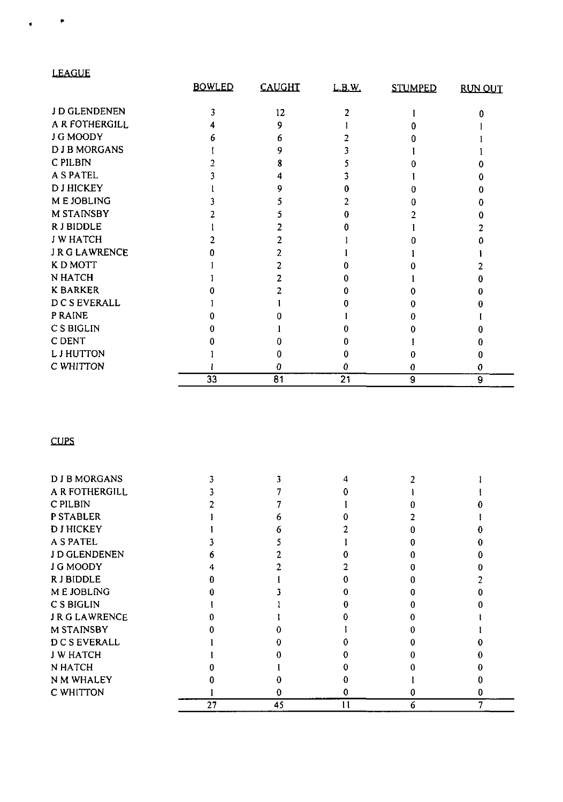| <b>LEAGUE</b>      |               |               |        |                |                |
|--------------------|---------------|---------------|--------|----------------|----------------|
|                    | <b>BOWLED</b> | <b>CAUGHT</b> | L.B.W. | <b>STUMPED</b> | <b>RUN OUT</b> |
| J D GLENDENEN      |               | 12            |        |                |                |
| A R FOTHERGILL     |               |               |        |                |                |
|                    |               | 9             |        |                |                |
| J G MOODY          |               | n             |        |                |                |
| <b>DJBMORGANS</b>  |               | 9             |        |                |                |
| C PILBIN           |               |               |        |                |                |
| <b>A S PATEL</b>   |               |               |        |                |                |
| <b>DJHICKEY</b>    |               | Q             |        |                |                |
| M E JOBLING        |               |               |        |                |                |
| <b>M STAINSBY</b>  |               |               |        |                |                |
| R J BIDDLE         |               |               |        |                |                |
| <b>J W HATCH</b>   |               |               |        |                |                |
| <b>JRGLAWRENCE</b> |               |               |        |                |                |
| <b>KDMOTT</b>      |               |               |        |                |                |
| N HATCH            |               |               |        |                |                |
| <b>K BARKER</b>    |               |               |        |                |                |
| D C S EVERALL      |               |               |        |                |                |
| P RAINE            |               |               |        |                |                |
| C S BIGLIN         |               |               |        |                |                |
| C DENT             |               |               |        |                |                |
| <b>L J HUTTON</b>  |               |               |        | Ω              |                |
| C WHITTON          |               | а             | a      | 0              |                |
|                    | 33            | 81            | 21     | 9              | 9              |

# **CUPS**

p

| <b>DJBMORGANS</b>  |    |    |               |   |  |
|--------------------|----|----|---------------|---|--|
| A R FOTHERGILL     |    |    |               |   |  |
| C PILBIN           |    |    |               |   |  |
| <b>P STABLER</b>   |    |    |               |   |  |
| <b>DJHICKEY</b>    |    |    |               |   |  |
| A S PATEL          |    |    |               |   |  |
| J D GLENDENEN      |    |    |               |   |  |
| J G MOODY          |    |    |               |   |  |
| <b>RJBIDDLE</b>    |    |    |               |   |  |
| M E JOBLING        |    |    |               |   |  |
| C S BIGLIN         |    |    |               |   |  |
| <b>JRGLAWRENCE</b> |    |    |               |   |  |
| <b>M STAINSBY</b>  |    |    |               |   |  |
| <b>DCSEVERALL</b>  |    |    |               |   |  |
| <b>J W HATCH</b>   |    |    |               |   |  |
| N HATCH            |    |    |               |   |  |
| N M WHALEY         |    |    |               |   |  |
| C WHITTON          |    |    |               |   |  |
|                    | 27 | 45 | $\mathbf{11}$ | n |  |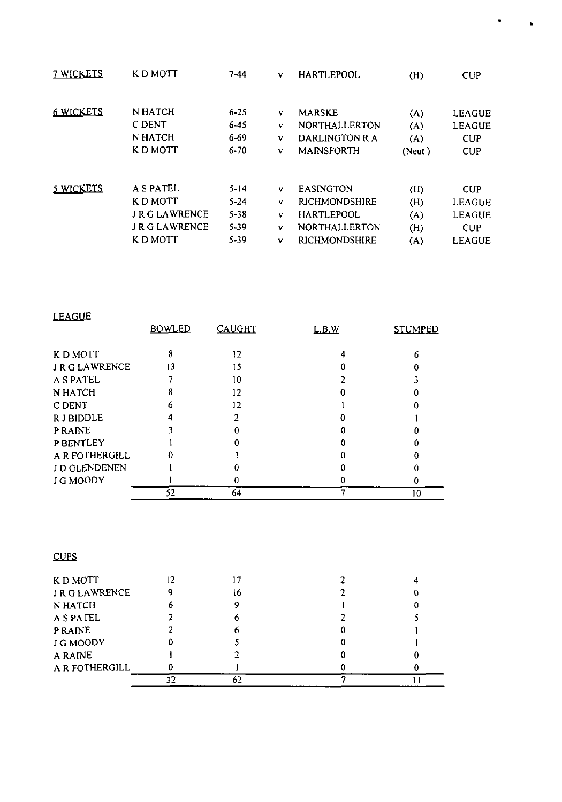| <b>7 WICKETS</b> | K D MOTT       | $7 - 44$ | v | <b>HARTLEPOOL</b>    | (H)    | <b>CUP</b>    |
|------------------|----------------|----------|---|----------------------|--------|---------------|
| <b>6 WICKETS</b> | N HATCH        | $6 - 25$ | v | <b>MARSKE</b>        | (A)    | <b>LEAGUE</b> |
|                  | C DENT         | $6 - 45$ | v | <b>NORTHALLERTON</b> | (A)    | <b>LEAGUE</b> |
|                  | N HATCH        | 6-69     | v | DARLINGTON R A       | (A)    | <b>CUP</b>    |
|                  | K D MOTT       | $6 - 70$ | v | <b>MAINSFORTH</b>    | (Neut) | <b>CUP</b>    |
| <b>5 WICKETS</b> | A S PATEL      | $5 - 14$ | v | <b>EASINGTON</b>     | (H)    | <b>CUP</b>    |
|                  | K D MOTT       | $5 - 24$ | v | <b>RICHMONDSHIRE</b> | (H)    | <b>LEAGUE</b> |
|                  | J R G LAWRENCE | $5 - 38$ | v | <b>HARTLEPOOL</b>    | (A)    | <b>LEAGUE</b> |
|                  | J R G LAWRENCE | 5-39     | v | <b>NORTHALLERTON</b> | (H)    | <b>CUP</b>    |
|                  | K D MOTT       | $5 - 39$ | v | <b>RICHMONDSHIRE</b> | (A)    | <b>LEAGUE</b> |

 $\bullet$ 

 $\bullet$ 

|--|

|                | <b>BOWLED</b> | <b>CAUGHT</b> | L.B.W | <b>STUMPED</b> |
|----------------|---------------|---------------|-------|----------------|
| K D MOTT       |               | 12            |       |                |
| JRGLAWRENCE    | 13            | 15            |       |                |
| A S PATEL      |               | 10            |       |                |
| N HATCH        |               | 12            |       |                |
| C DENT         |               | 12            |       |                |
| R J BIDDLE     |               |               |       |                |
| P RAINE        |               |               |       |                |
| P BENTLEY      |               |               |       |                |
| A R FOTHERGILL |               |               |       |                |
| J D GLENDENEN  |               |               |       |                |
| J G MOODY      |               |               |       |                |
|                | 52            | 64            |       | 10             |

# CUPS

| K D MOTT           |    |    |  |
|--------------------|----|----|--|
| <b>JRGLAWRENCE</b> |    | 16 |  |
| N HATCH            |    |    |  |
| A S PATEL          |    |    |  |
| <b>PRAINE</b>      |    |    |  |
| J G MOODY          |    |    |  |
| A RAINE            |    |    |  |
| A R FOTHERGILL     |    |    |  |
|                    | マつ |    |  |